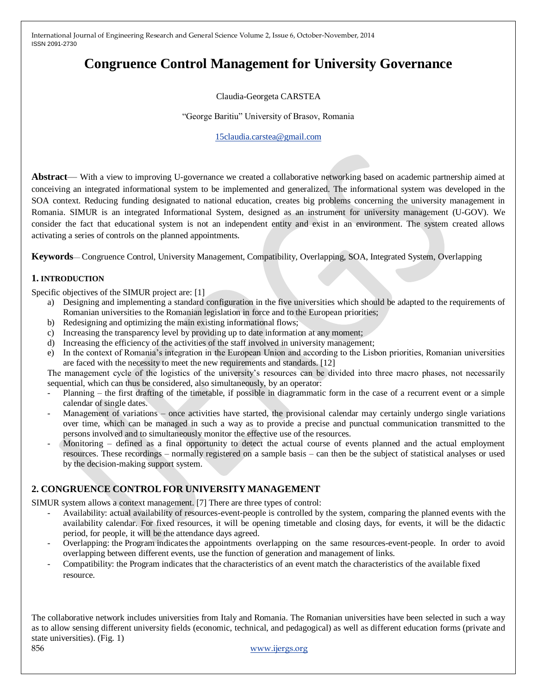# **Congruence Control Management for University Governance**

## Claudia-Georgeta CARSTEA

―George Baritiu‖ University of Brasov, Romania

[15claudia.carstea@gmail.com](mailto:15claudia.carstea@gmail.com)

**Abstract**— With a view to improving U-governance we created a collaborative networking based on academic partnership aimed at conceiving an integrated informational system to be implemented and generalized. The informational system was developed in the SOA context. Reducing funding designated to national education, creates big problems concerning the university management in Romania. SIMUR is an integrated Informational System, designed as an instrument for university management (U-GOV). We consider the fact that educational system is not an independent entity and exist in an environment. The system created allows activating a series of controls on the planned appointments.

**Keywords**— Congruence Control, University Management, Compatibility, Overlapping, SOA, Integrated System, Overlapping

## **1. INTRODUCTION**

Specific objectives of the SIMUR project are: [1]

- a) Designing and implementing a standard configuration in the five universities which should be adapted to the requirements of Romanian universities to the Romanian legislation in force and to the European priorities;
- b) Redesigning and optimizing the main existing informational flows;
- c) Increasing the transparency level by providing up to date information at any moment;
- d) Increasing the efficiency of the activities of the staff involved in university management;
- e) In the context of Romania's integration in the European Union and according to the Lisbon priorities, Romanian universities are faced with the necessity to meet the new requirements and standards. [12]

The management cycle of the logistics of the university's resources can be divided into three macro phases, not necessarily sequential, which can thus be considered, also simultaneously, by an operator:

- Planning the first drafting of the timetable, if possible in diagrammatic form in the case of a recurrent event or a simple calendar of single dates.
- Management of variations once activities have started, the provisional calendar may certainly undergo single variations over time, which can be managed in such a way as to provide a precise and punctual communication transmitted to the persons involved and to simultaneously monitor the effective use of the resources.
- Monitoring defined as a final opportunity to detect the actual course of events planned and the actual employment resources. These recordings – normally registered on a sample basis – can then be the subject of statistical analyses or used by the decision-making support system.

# **2. CONGRUENCE CONTROLFOR UNIVERSITY MANAGEMENT**

SIMUR system allows a context management. [7] There are three types of control:

- Availability: actual availability of resources-event-people is controlled by the system, comparing the planned events with the availability calendar. For fixed resources, it will be opening timetable and closing days, for events, it will be the didactic period, for people, it will be the attendance days agreed.
- Overlapping: the Program indicatesthe appointments overlapping on the same resources-event-people. In order to avoid overlapping between different events, use the function of generation and management of links.
- Compatibility: the Program indicates that the characteristics of an event match the characteristics of the available fixed resource.

The collaborative network includes universities from Italy and Romania. The Romanian universities have been selected in such a way as to allow sensing different university fields (economic, technical, and pedagogical) as well as different education forms (private and state universities). (Fig. 1)

856 www.ijergs.org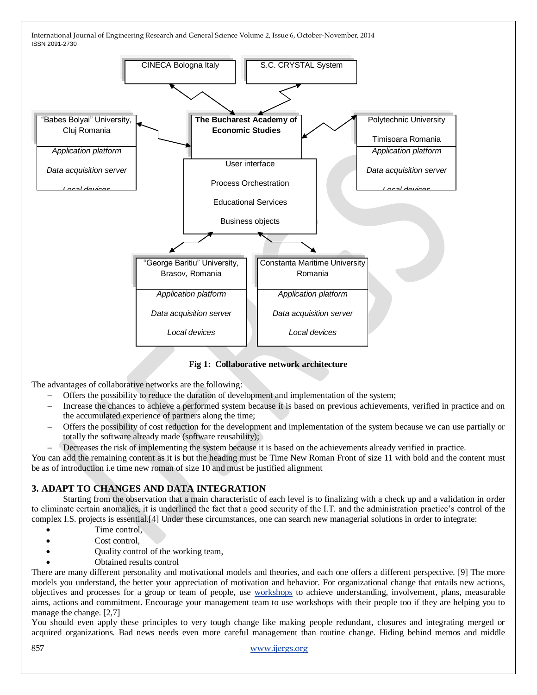

**Fig 1: Collaborative network architecture**

The advantages of collaborative networks are the following:

- Offers the possibility to reduce the duration of development and implementation of the system;
- Increase the chances to achieve a performed system because it is based on previous achievements, verified in practice and on the accumulated experience of partners along the time;
- Offers the possibility of cost reduction for the development and implementation of the system because we can use partially or totally the software already made (software reusability);
- Decreases the risk of implementing the system because it is based on the achievements already verified in practice.

You can add the remaining content as it is but the heading must be Time New Roman Front of size 11 with bold and the content must be as of introduction i.e time new roman of size 10 and must be justified alignment

## **3. ADAPT TO CHANGES AND DATA INTEGRATION**

Starting from the observation that a main characteristic of each level is to finalizing with a check up and a validation in order to eliminate certain anomalies, it is underlined the fact that a good security of the I.T. and the administration practice's control of the complex I.S. projects is essential.[4] Under these circumstances, one can search new managerial solutions in order to integrate:

- Time control,
- Cost control,
- Quality control of the working team,
- Obtained results control

There are many different personality and motivational models and theories, and each one offers a different perspective. [9] The more models you understand, the better your appreciation of motivation and behavior. For organizational change that entails new actions, objectives and processes for a group or team of people, use [workshops](http://www.businessballs.com/workshops.htm) to achieve understanding, involvement, plans, measurable aims, actions and commitment. Encourage your management team to use workshops with their people too if they are helping you to manage the change. [2,7]

You should even apply these principles to very tough change like making people redundant, closures and integrating merged or acquired organizations. Bad news needs even more careful management than routine change. Hiding behind memos and middle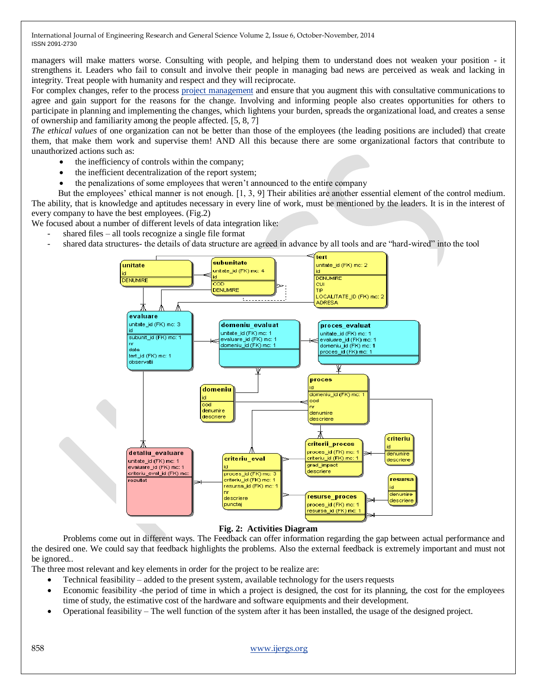managers will make matters worse. Consulting with people, and helping them to understand does not weaken your position - it strengthens it. Leaders who fail to consult and involve their people in managing bad news are perceived as weak and lacking in integrity. Treat people with humanity and respect and they will reciprocate.

For complex changes, refer to the process [project management](http://www.businessballs.com/project.htm) and ensure that you augment this with consultative communications to agree and gain support for the reasons for the change. Involving and informing people also creates opportunities for others to participate in planning and implementing the changes, which lightens your burden, spreads the organizational load, and creates a sense of ownership and familiarity among the people affected. [5, 8, 7]

*The ethical values* of one organization can not be better than those of the employees (the leading positions are included) that create them, that make them work and supervise them! AND All this because there are some organizational factors that contribute to unauthorized actions such as:

- the inefficiency of controls within the company;
- the inefficient decentralization of the report system;
- the penalizations of some employees that weren't announced to the entire company

 But the employees' ethical manner is not enough. [1, 3, 9] Their abilities are another essential element of the control medium. The ability, that is knowledge and aptitudes necessary in every line of work, must be mentioned by the leaders. It is in the interest of every company to have the best employees. (Fig.2)

We focused about a number of different levels of data integration like:

- shared files all tools recognize a single file format
- shared data structures- the details of data structure are agreed in advance by all tools and are "hard-wired" into the tool



#### **Fig. 2: Activities Diagram**

Problems come out in different ways. The Feedback can offer information regarding the gap between actual performance and the desired one. We could say that feedback highlights the problems. Also the external feedback is extremely important and must not be ignored..

The three most relevant and key elements in order for the project to be realize are:

- Technical feasibility added to the present system, available technology for the users requests
- Economic feasibility -the period of time in which a project is designed, the cost for its planning, the cost for the employees time of study, the estimative cost of the hardware and software equipments and their development.
- Operational feasibility The well function of the system after it has been installed, the usage of the designed project.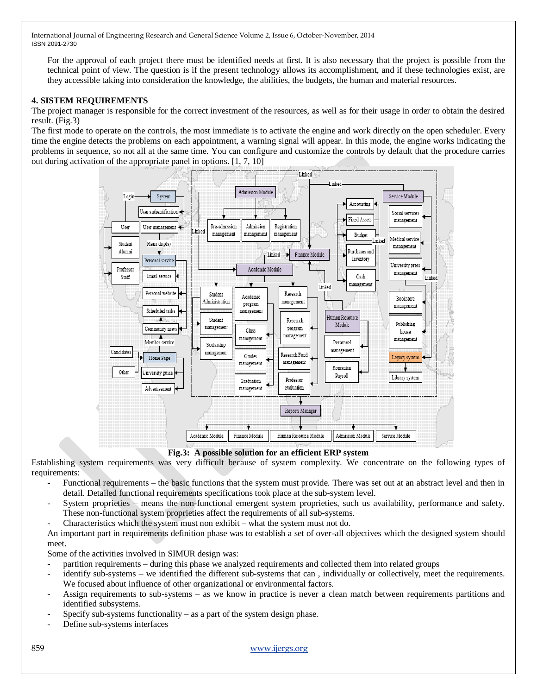For the approval of each project there must be identified needs at first. It is also necessary that the project is possible from the technical point of view. The question is if the present technology allows its accomplishment, and if these technologies exist, are they accessible taking into consideration the knowledge, the abilities, the budgets, the human and material resources.

### **4. SISTEM REQUIREMENTS**

The project manager is responsible for the correct investment of the resources, as well as for their usage in order to obtain the desired result. (Fig.3)

The first mode to operate on the controls, the most immediate is to activate the engine and work directly on the open scheduler. Every time the engine detects the problems on each appointment, a warning signal will appear. In this mode, the engine works indicating the problems in sequence, so not all at the same time. You can configure and customize the controls by default that the procedure carries out during activation of the appropriate panel in options. [1, 7, 10]



**Fig.3: A possible solution for an efficient ERP system**

Establishing system requirements was very difficult because of system complexity. We concentrate on the following types of requirements:

- Functional requirements the basic functions that the system must provide. There was set out at an abstract level and then in detail. Detailed functional requirements specifications took place at the sub-system level.
- System proprieties means the non-functional emergent system proprieties, such us availability, performance and safety. These non-functional system proprieties affect the requirements of all sub-systems.
- Characteristics which the system must non exhibit what the system must not do.

An important part in requirements definition phase was to establish a set of over-all objectives which the designed system should meet.

Some of the activities involved in SIMUR design was:

- partition requirements during this phase we analyzed requirements and collected them into related groups
- identify sub-systems we identified the different sub-systems that can , individually or collectively, meet the requirements. We focused about influence of other organizational or environmental factors.
- Assign requirements to sub-systems as we know in practice is never a clean match between requirements partitions and identified subsystems.
- Specify sub-systems functionality as a part of the system design phase.
- Define sub-systems interfaces